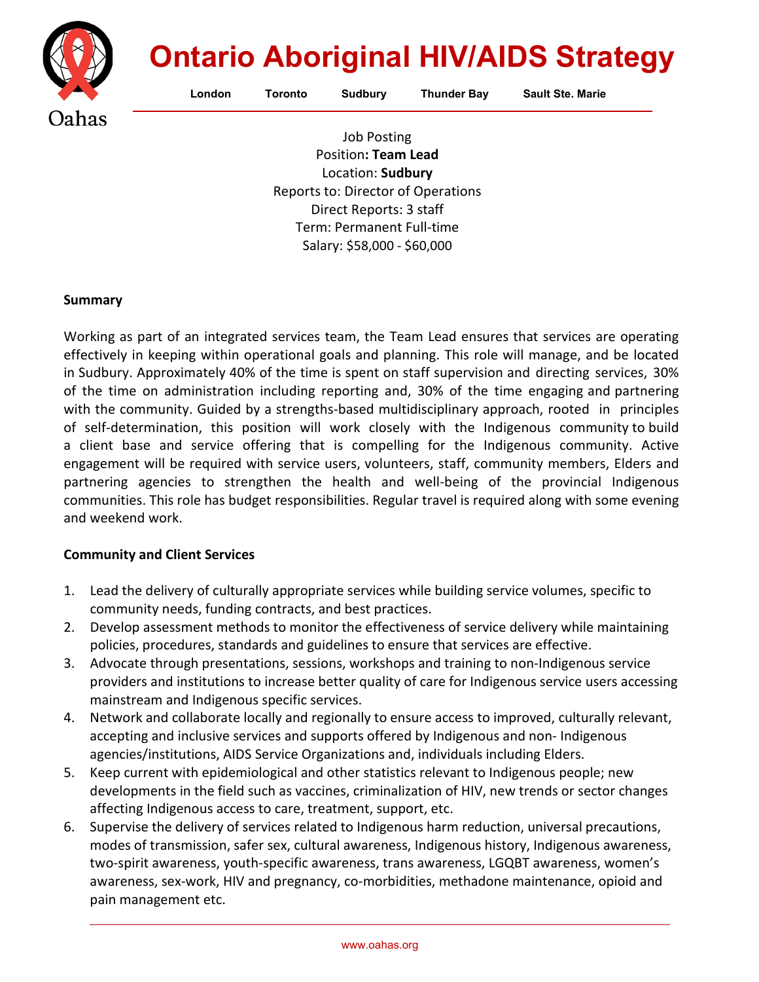

# **Ontario Aboriginal HIV/AIDS Strategy**

London Toronto Sudbury Thunder Bay Sault Ste. Marie

Job Posting Position**: Team Lead**  Location: **Sudbury** Reports to: Director of Operations Direct Reports: 3 staff Term: Permanent Full-time Salary: \$58,000 - \$60,000

### **Summary**

Working as part of an integrated services team, the Team Lead ensures that services are operating effectively in keeping within operational goals and planning. This role will manage, and be located in Sudbury. Approximately 40% of the time is spent on staff supervision and directing services, 30% of the time on administration including reporting and, 30% of the time engaging and partnering with the community. Guided by a strengths-based multidisciplinary approach, rooted in principles of self-determination, this position will work closely with the Indigenous community to build a client base and service offering that is compelling for the Indigenous community. Active engagement will be required with service users, volunteers, staff, community members, Elders and partnering agencies to strengthen the health and well-being of the provincial Indigenous communities. This role has budget responsibilities. Regular travel is required along with some evening and weekend work.

### **Community and Client Services**

- 1. Lead the delivery of culturally appropriate services while building service volumes, specific to community needs, funding contracts, and best practices.
- 2. Develop assessment methods to monitor the effectiveness of service delivery while maintaining policies, procedures, standards and guidelines to ensure that services are effective.
- 3. Advocate through presentations, sessions, workshops and training to non-Indigenous service providers and institutions to increase better quality of care for Indigenous service users accessing mainstream and Indigenous specific services.
- 4. Network and collaborate locally and regionally to ensure access to improved, culturally relevant, accepting and inclusive services and supports offered by Indigenous and non- Indigenous agencies/institutions, AIDS Service Organizations and, individuals including Elders.
- 5. Keep current with epidemiological and other statistics relevant to Indigenous people; new developments in the field such as vaccines, criminalization of HIV, new trends or sector changes affecting Indigenous access to care, treatment, support, etc.
- 6. Supervise the delivery of services related to Indigenous harm reduction, universal precautions, modes of transmission, safer sex, cultural awareness, Indigenous history, Indigenous awareness, two-spirit awareness, youth-specific awareness, trans awareness, LGQBT awareness, women's awareness, sex-work, HIV and pregnancy, co-morbidities, methadone maintenance, opioid and pain management etc.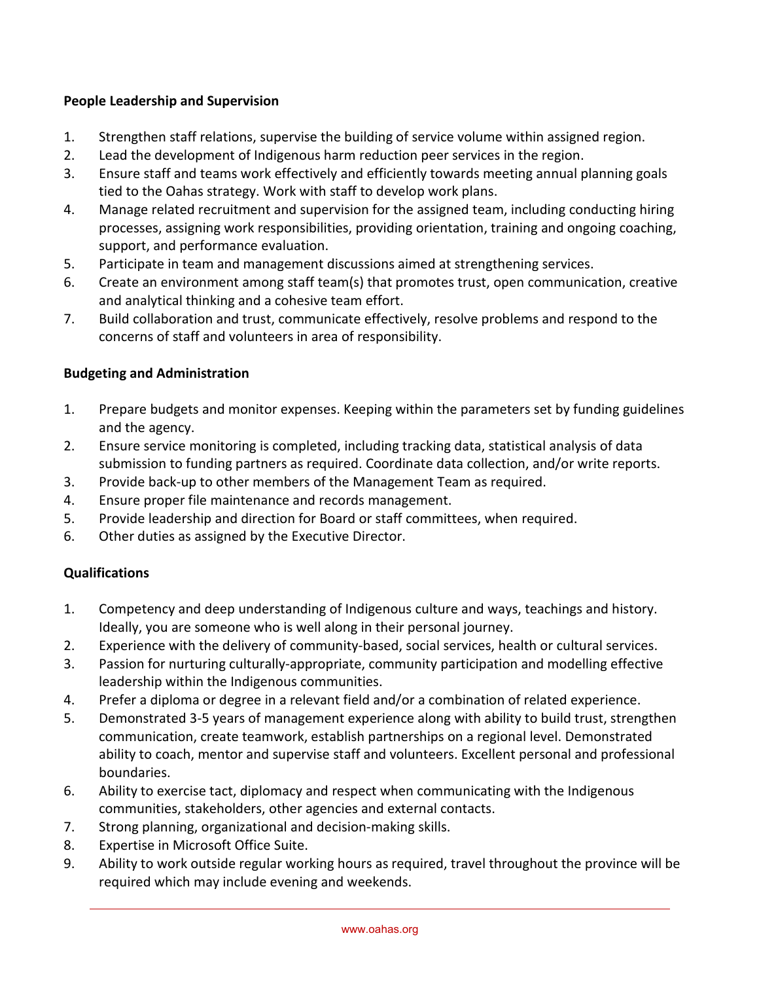## **People Leadership and Supervision**

- 1. Strengthen staff relations, supervise the building of service volume within assigned region.
- 2. Lead the development of Indigenous harm reduction peer services in the region.
- 3. Ensure staff and teams work effectively and efficiently towards meeting annual planning goals tied to the Oahas strategy. Work with staff to develop work plans.
- 4. Manage related recruitment and supervision for the assigned team, including conducting hiring processes, assigning work responsibilities, providing orientation, training and ongoing coaching, support, and performance evaluation.
- 5. Participate in team and management discussions aimed at strengthening services.
- 6. Create an environment among staff team(s) that promotes trust, open communication, creative and analytical thinking and a cohesive team effort.
- 7. Build collaboration and trust, communicate effectively, resolve problems and respond to the concerns of staff and volunteers in area of responsibility.

# **Budgeting and Administration**

- 1. Prepare budgets and monitor expenses. Keeping within the parameters set by funding guidelines and the agency.
- 2. Ensure service monitoring is completed, including tracking data, statistical analysis of data submission to funding partners as required. Coordinate data collection, and/or write reports.
- 3. Provide back-up to other members of the Management Team as required.
- 4. Ensure proper file maintenance and records management.
- 5. Provide leadership and direction for Board or staff committees, when required.
- 6. Other duties as assigned by the Executive Director.

# **Qualifications**

- 1. Competency and deep understanding of Indigenous culture and ways, teachings and history. Ideally, you are someone who is well along in their personal journey.
- 2. Experience with the delivery of community-based, social services, health or cultural services.
- 3. Passion for nurturing culturally-appropriate, community participation and modelling effective leadership within the Indigenous communities.
- 4. Prefer a diploma or degree in a relevant field and/or a combination of related experience.
- 5. Demonstrated 3-5 years of management experience along with ability to build trust, strengthen communication, create teamwork, establish partnerships on a regional level. Demonstrated ability to coach, mentor and supervise staff and volunteers. Excellent personal and professional boundaries.
- 6. Ability to exercise tact, diplomacy and respect when communicating with the Indigenous communities, stakeholders, other agencies and external contacts.
- 7. Strong planning, organizational and decision-making skills.
- 8. Expertise in Microsoft Office Suite.
- 9. Ability to work outside regular working hours as required, travel throughout the province will be required which may include evening and weekends.